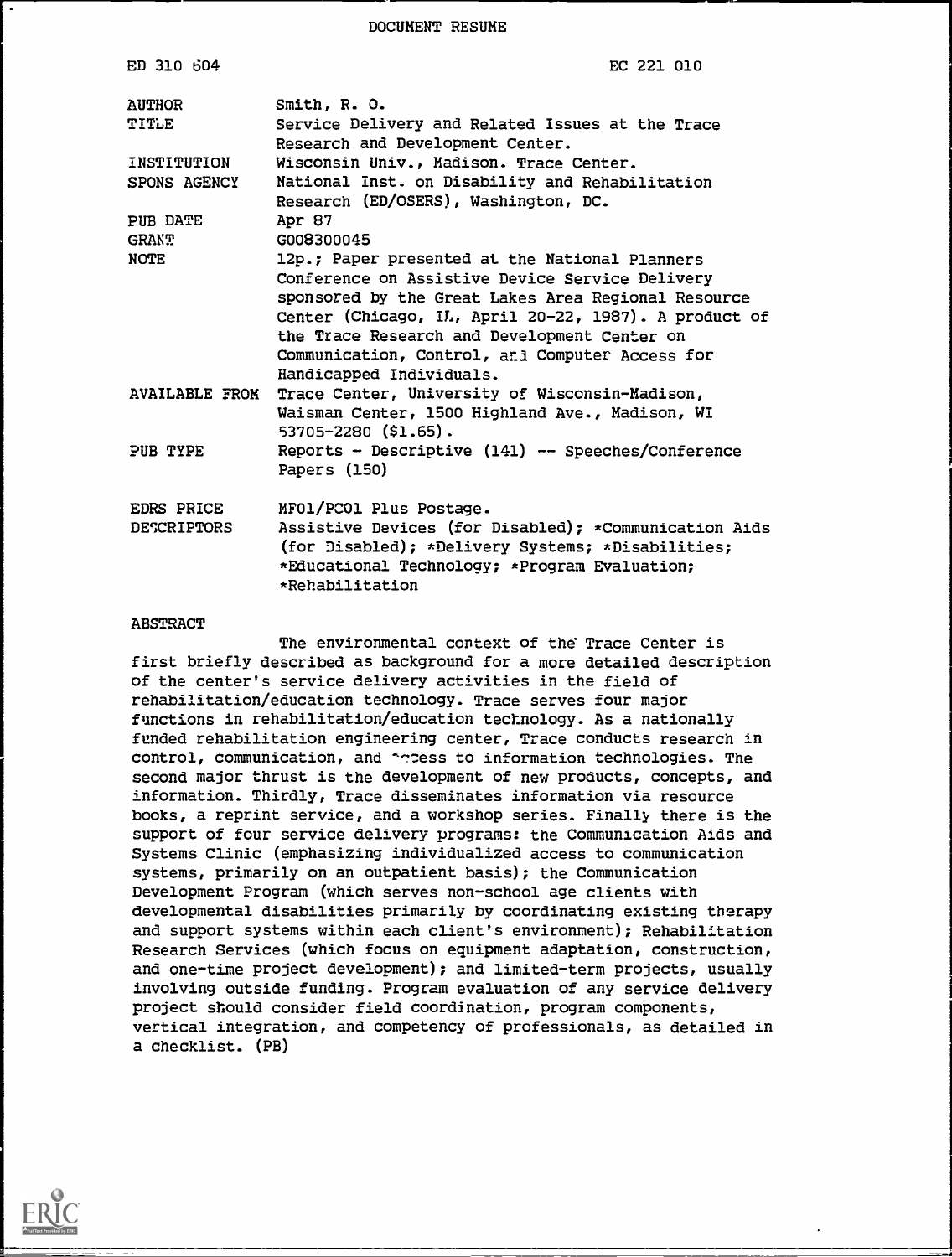DOCUMENT RESUME

| EC 221 010                                                                                                                                                                     |
|--------------------------------------------------------------------------------------------------------------------------------------------------------------------------------|
| Smith, R. O.                                                                                                                                                                   |
| Service Delivery and Related Issues at the Trace<br>Research and Development Center.                                                                                           |
| Wisconsin Univ., Madison. Trace Center.                                                                                                                                        |
| National Inst. on Disability and Rehabilitation<br>Research (ED/OSERS), Washington, DC.                                                                                        |
| Apr 87                                                                                                                                                                         |
| G008300045                                                                                                                                                                     |
| 12p.; Paper presented at the National Planners                                                                                                                                 |
| Conference on Assistive Device Service Delivery                                                                                                                                |
| sponsored by the Great Lakes Area Regional Resource                                                                                                                            |
| Center (Chicago, IL, April 20-22, 1987). A product of                                                                                                                          |
| the Trace Research and Development Center on                                                                                                                                   |
| Communication, Control, and Computer Access for<br>Handicapped Individuals.                                                                                                    |
| Trace Center, University of Wisconsin-Madison,<br><b>AVAILABLE FROM</b>                                                                                                        |
| Waisman Center, 1500 Highland Ave., Madison, WI                                                                                                                                |
| $53705 - 2280$ (\$1.65).                                                                                                                                                       |
| Reports - Descriptive (141) -- Speeches/Conference<br>Papers (150)                                                                                                             |
| MFO1/PCO1 Plus Postage.                                                                                                                                                        |
| Assistive Devices (for Disabled); *Communication Aids<br>(for Disabled); *Delivery Systems; *Disabilities;<br>*Educational Technology; *Program Evaluation;<br>*Rehabilitation |
|                                                                                                                                                                                |

#### ABSTRACT

The environmental context of the Trace Center is first briefly described as background for a more detailed description of the center's service delivery activities in the field of rehabilitation/education technology. Trace serves four major functions in rehabilitation/education technology. As a nationally funded rehabilitation engineering center, Trace conducts research in control, communication, and acress to information technologies. The second major thrust is the development of new products, concepts, and information. Thirdly, Trace disseminates information via resource books, a reprint service, and a workshop series. Finally there is the support of four service delivery programs: the Communication Aids and Systems Clinic (emphasizing individualized access to communication systems, primarily on an outpatient basis); the Communication Development Program (which serves non-school age clients with developmental disabilities primarily by coordinating existing therapy and support systems within each client's environment); Rehabilitation Research Services (which focus on equipment adaptation, construction, and one-time project development); and limited-term projects, usually involving outside funding. Program evaluation of any service delivery project should consider field coordination, program components, vertical integration, and competency of professionals, as detailed in a checklist. (PB)

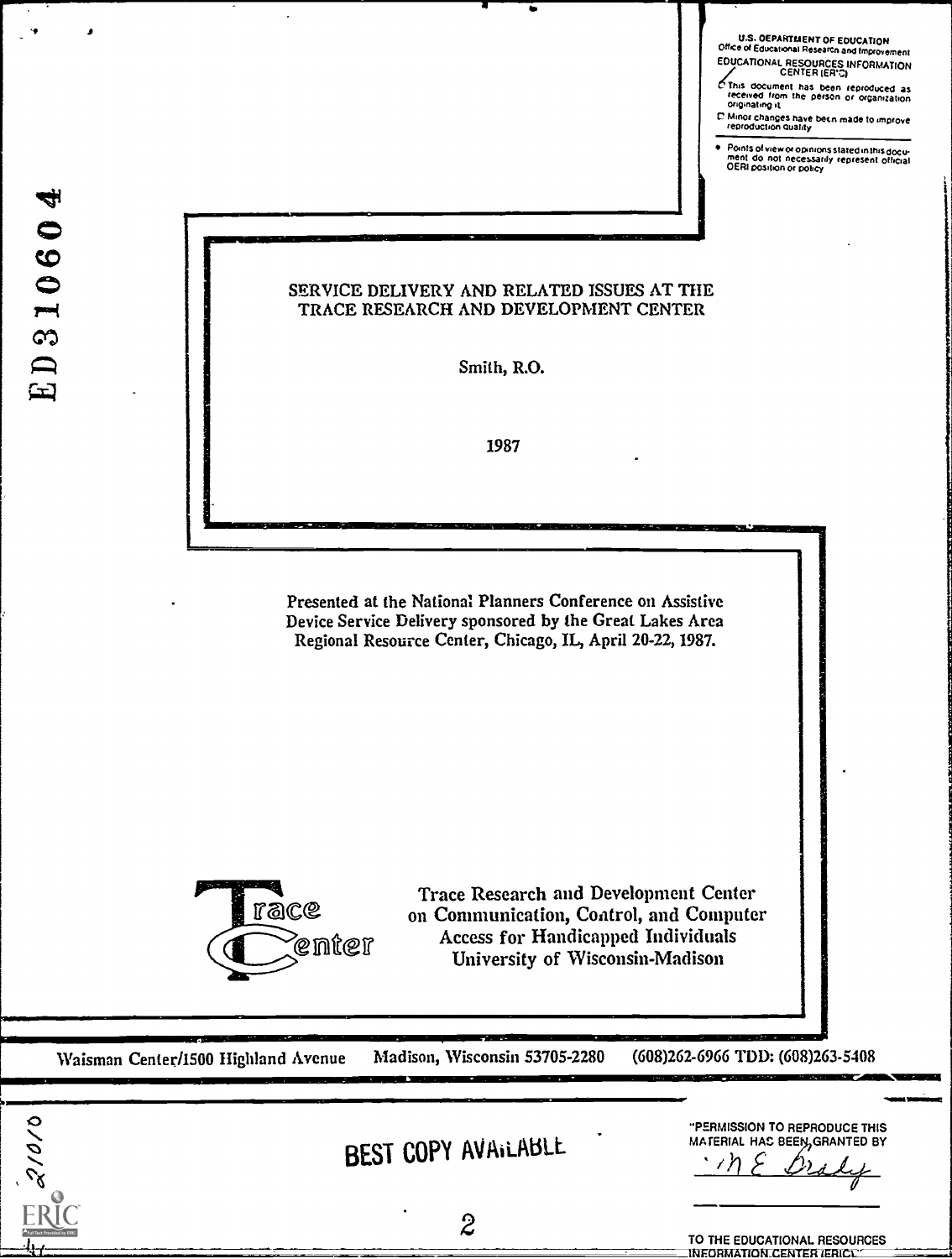| <b>U.S. OEPARTMENT OF EDUCATION</b><br>Office of Educational Research and Improvement |  |
|---------------------------------------------------------------------------------------|--|
| <b>EDUCATIONAL RESOURCES INFORMATION</b><br>CENTER (ER'C)                             |  |
| O This document has have                                                              |  |

CENTER (ER'C)<br>
C This document has been reproduced as<br>
received from the person or organization<br>
onginating it

L' Minor changes have been made to improve<br>reproduction quality

Points of view or opinions stated in this docu-<br>ment : do .not. necessarily .represent. official<br>OERI position or policy

21010

### SERVICE DELIVERY AND RELATED ISSUES AT THE TRACE RESEARCH AND DEVELOPMENT CENTER

Smith, R.O.

1987

Presented at the National Planners Conference on Assistive Device Service Delivery sponsored by the Great Lakes Area Regional Resource Center, Chicago, IL, April 20-22, 1987.



Trace Research and Development Center on Communication, Control, and Computer Access for Handicapped Individuals University of Wisconsin-Madison

Waisman Center/I500 highland Avenue Madison, Wisconsin 53705-2280 (608)262-6966 TDD: (608)263-5408

|  | BEST COPY AVAILABLE |
|--|---------------------|
|--|---------------------|

MATERIAL HAC BEEN, GRANTED BY <u>) بارغدار</u>

"PERMISSION TO REPRODUCE THIS

111111WEINIMI

Service<br>Service

TO THE EDUCATIONAL RESOURCES INFORMATION\_CENTER (ERICL)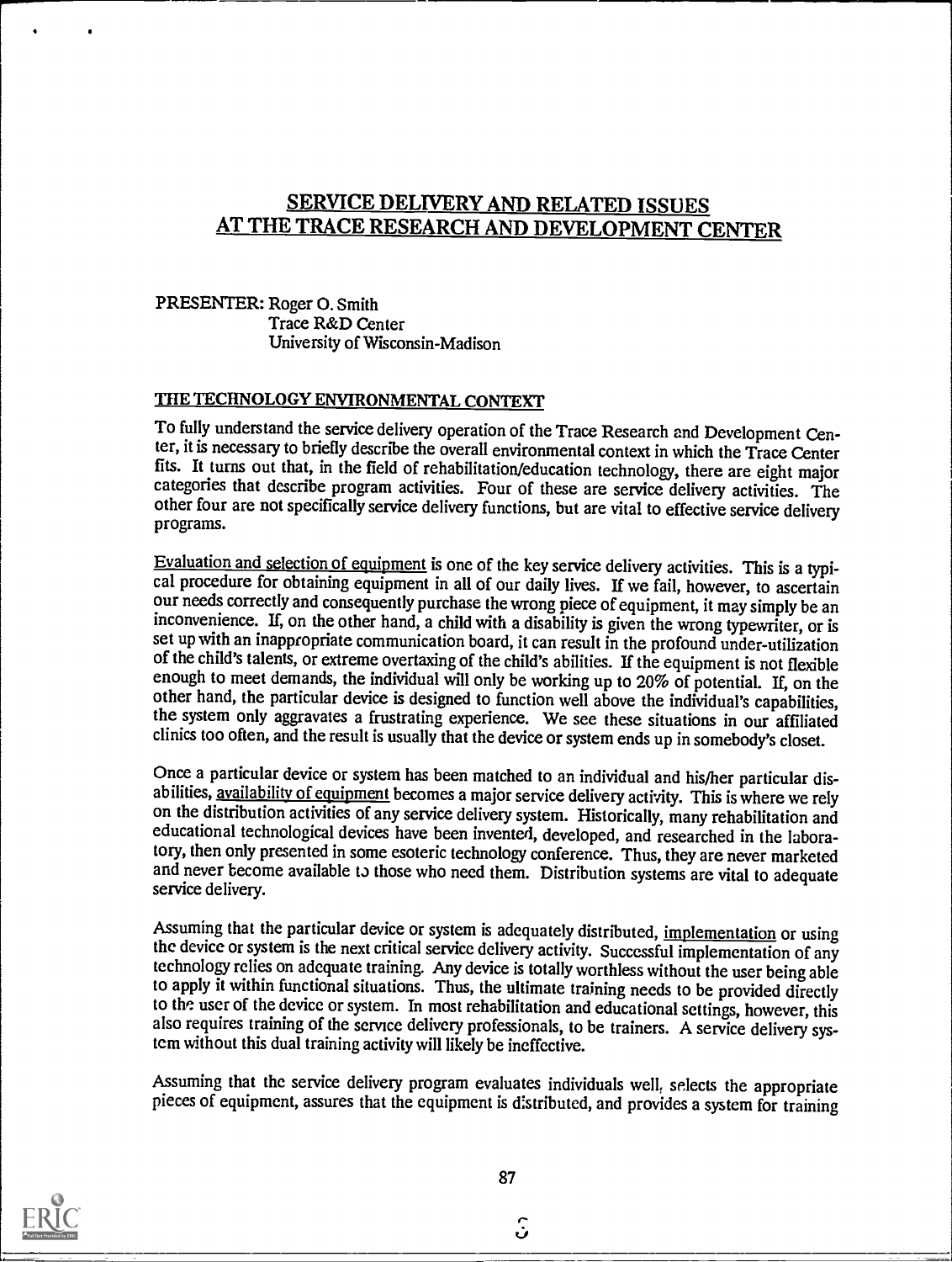# SERVICE DELIVERY AND RELATED ISSUES AT THE TRACE RESEARCH AND DEVELOPMENT CENTER

## PRESENTER: Roger 0. Smith Trace R&D Center University of Wisconsin-Madison

# THE TECHNOLOGY ENVIRONMENTAL CONTEXT

To fully understand the service delivery operation of the Trace Research and Development Center, it is necessary to briefly describe the overall environmental context in which the Trace Center<br>fits. It turns out that, in the field of rehabilitation/education technology, there are eight major categories that describe program activities. Four of these are service delivery activities. The other four are not specifically service delivery functions, but are vital to effective service delivery programs.

Evaluation and selection of equipment is one of the key service delivery activities. This is a typical procedure for obtaining equipment in all of our daily lives. If we fail, however, to ascertain our needs correctly and consequently purchase the wrong piece of equipment, it may simply be an inconvenience. If, on the other hand, a child with a disability is given the wrong typewriter, or is set up with an inappropriate communication board, it can result in the profound under-utilization of the child's talents, or extreme overtaxing of the child's abilities. If the equipment is not flexible enough to meet demands, the individual will only be working up to 20% of potential. If, on the other hand, the particular device is designed to function well above the individual's capabilities, the system only aggravates a frustrating experience. We see these situations in our affiliated clinics too often, and the result is usually that the device or system ends up in somebody's closet.

Once a particular device or system has been matched to an individual and his/her particular disabilities, availability of equipment becomes a major service delivery activity. This is where we rely on the distribution activities of any service delivery system. Historically, many rehabilitation and educational technological devices have been invented, developed, and researched in the laboratory, then only presented in some esoteric technology conference. Thus, they are never marketed and never become available to those who need them. Distribution systems are vital to adequate service delivery.

Assuming that the particular device or system is adequately distributed, implementation or using the device or system is the next critical service delivery activity. Successful implementation of any technology relies on adequate training. Any device is totally worthless without the user being able to apply it within functional situations. Thus, the ultimate training needs to be provided directly to the user of the device or system. In most rehabilitation and educational settings, however, this also requires training of the service delivery professionals, to be trainers. A service delivery system without this dual training activity will likely be ineffective.

Assuming that the service delivery program evaluates individuals well, selects the appropriate pieces of equipment, assures that the equipment is distributed, and provides a system for training



87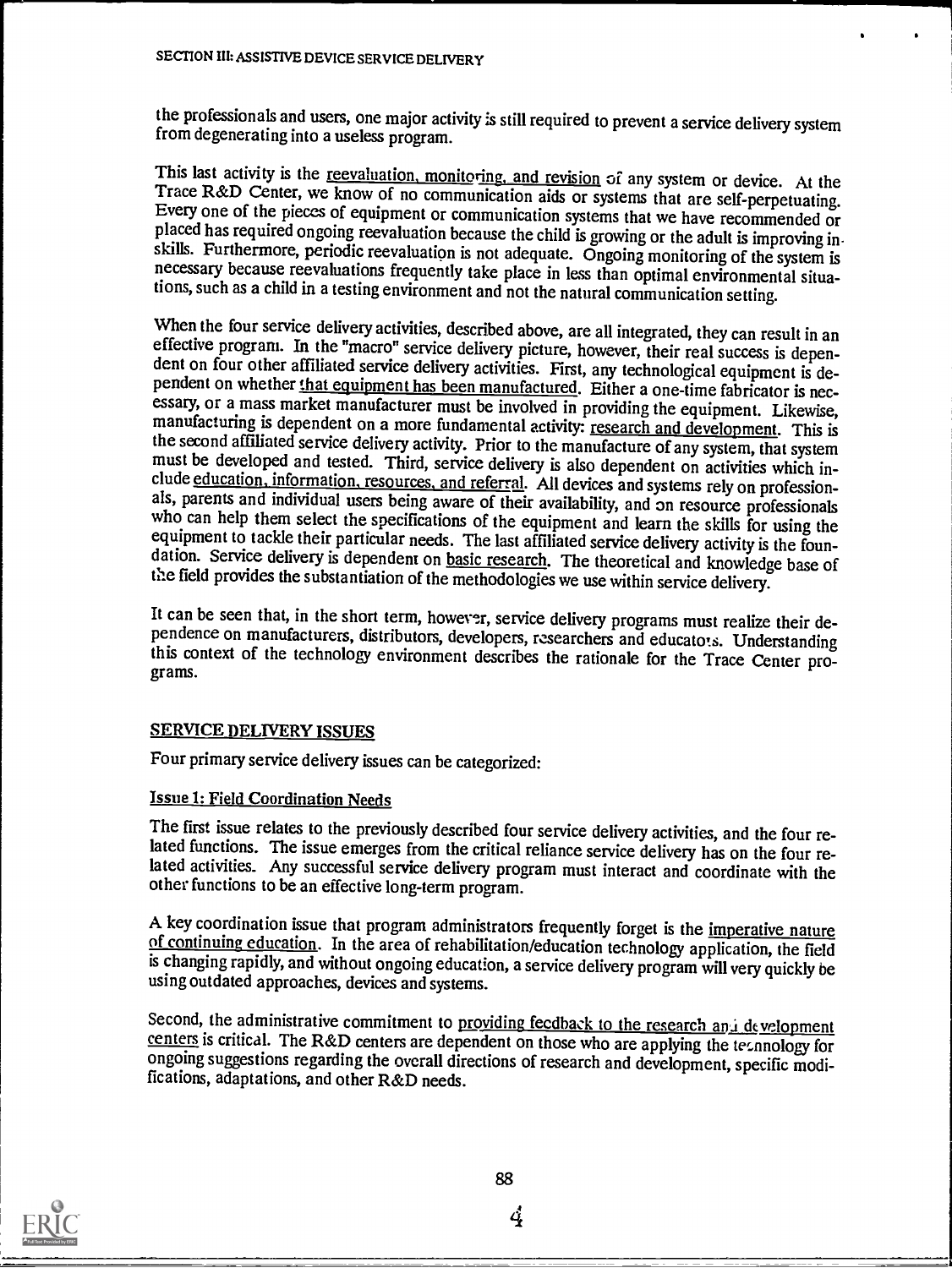the professionals and users, one major activity is still required to prevent a service delivery system from degenerating into a useless program.

This last activity is the <u>reevaluation, monitoring, and revision</u> of any system or device. At the Trace R&D Center, we know of no communication aids or systems that are self-perpetuating. Every one of the pieces of equipm tions, such as a child in a testing environment and not the natural communication setting.

When the four service delivery activities, described above, are all integrated, they can result in an effective program. In the "macro" service delivery picture, however, their real success is dependent on four other affil manufacturing is dependent on a more fundamental activity: research and development. This is the second affiliated service delivery activity. Prior to the manufacture of any system, that system must be developed and tested. Third, service delivery is also dependent on activities which include education, information, resources, and referral. All devices and systems rely on professionals, parents and individual use the field provides the substantiation of the methodologies we use within service delivery.

It can be seen that, in the short term, however, service delivery programs must realize their de- pendence on manufacturers, distributors, developers, researchers and educatots. Understanding this context of the technology environment describes the rationale for the Trace Center pro-

#### SERVICE DELIVERY ISSUES

Four primary service delivery issues can be categorized:

### Issue 1: Field Coordination Needs

The first issue relates to the previously described four service delivery activities, and the four related functions. The issue emerges from the critical reliance service delivery has on the four related activities. Any successful service delivery program must interact and coordinate with the other functions to be an effective long-term program.

A key coordination issue that program administrators frequently forget is the <u>imperative nature</u> of continuing education. In the area of rehabilitation/education technology application, the field is changing rapidly, and without ongoing education, a service delivery program will very quickly be using outdated approaches, devices and systems.

Second, the administrative commitment to providing feedback to the research and development centers is critical. The R&D centers are dependent on those who are applying the technology for ongoing suggestions regarding the overall directions of research and development, specific modi-<br>fications, adaptations, and other R&D needs.

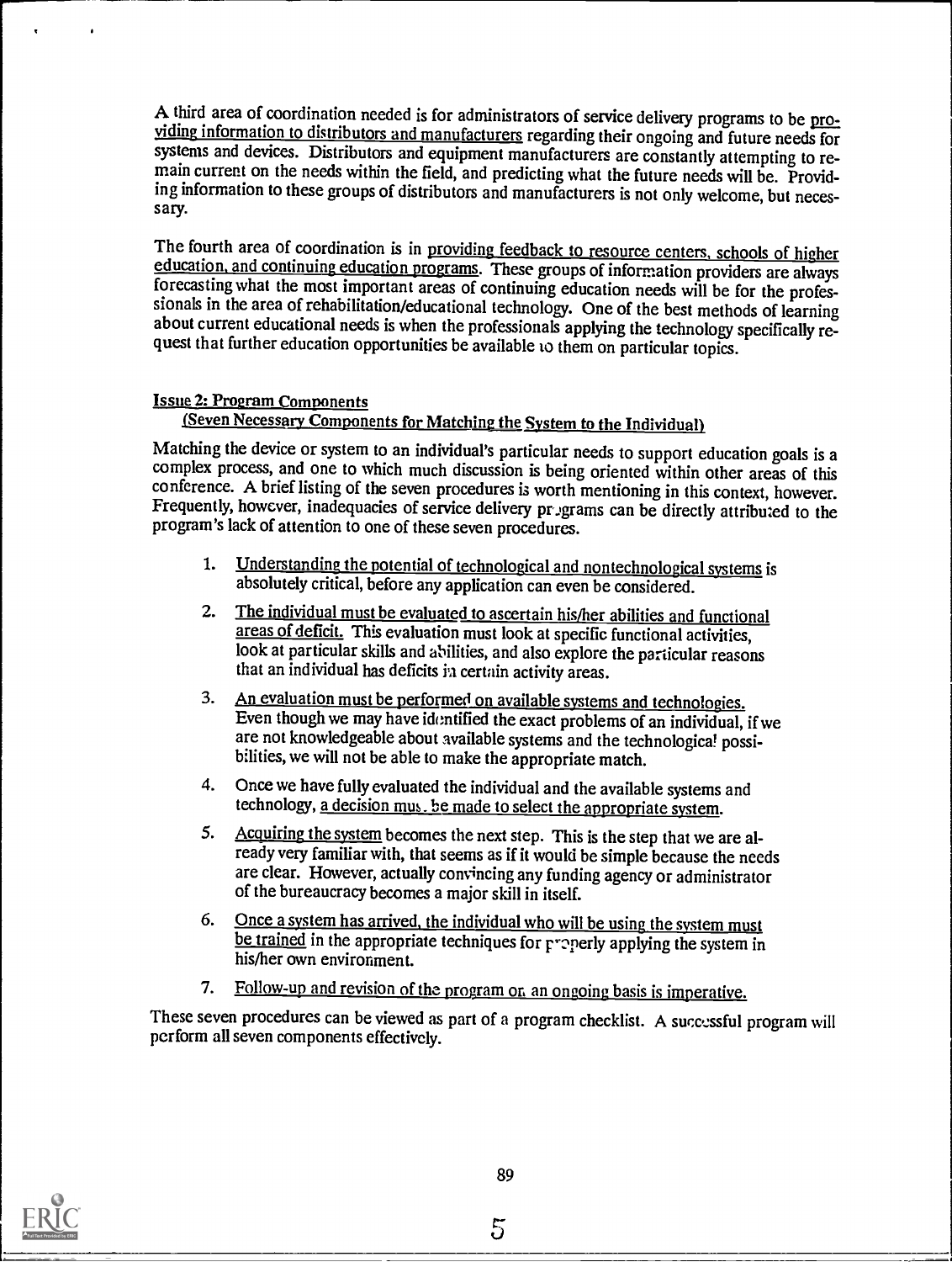A third area of coordination needed is for administrators of service delivery programs to be pro-<br>yiding information to distributors and manufacturers regarding their ongoing and future needs for<br>systems and devices. Distr ing information to these groups of distributors and manufacturers is not only welcome, but necessary.

The fourth area of coordination is in providing feedback to resource centers, schools of higher education, and continuing education programs. These groups of information providers are always forecasting what the most impor sionals in the area of rehabilitation/educational technology. One of the best methods of learning about current educational needs is when the professionals applying the technology specifically request that further education opportunities be available to them on particular topics.

#### Issue 2: Program Components

# (Seven Necessary Components for Matching the System to the Individual)

Matching the device or system to an individual's particular needs to support education goals is a complex process, and one to which much discussion is being oriented within other areas of this conference. A brief listing of the seven procedures is worth mentioning in this context, however. Frequently, however, inadequacies of service delivery programs can be directly attributed to the program's lack of attention to one of these seven procedures.

- 1. Understanding the potential of technological and nontechnological systems is absolutely critical, before any application can even be considered.
- 2. The individual must be evaluated to ascertain his/her abilities and functional areas of deficit. This evaluation must look at specific functional activities, look at particular skills and abilities, and also explore the particular reasons that an individual has deficits in certain activity areas.
- 3. An evaluation must be performed on available systems and technologies. Even though we may have identified the exact problems of an individual, if we are not knowledgeable about available systems and the technological possibilities, we will not be able to make the appropriate match.
- 4. Once we have fully evaluated the individual and the available systems and technology, a decision mus. be made to select the appropriate system.
- 5. Acquiring the system becomes the next step. This is the step that we are already very familiar with, that seems as if it would be simple because the needs are clear. However, actually convincing any funding agency or administrator of the bureaucracy becomes a major skill in itself.
- 6. Once a system has arrived, the individual who will be using the system must be trained in the appropriate techniques for  $r$  perly applying the system in his/her own environment.
- 7. Follow-up and revision of the program on an ongoing basis is imperative.

These seven procedures can be viewed as part of a program checklist. A successful program will perform all seven components effectively.



5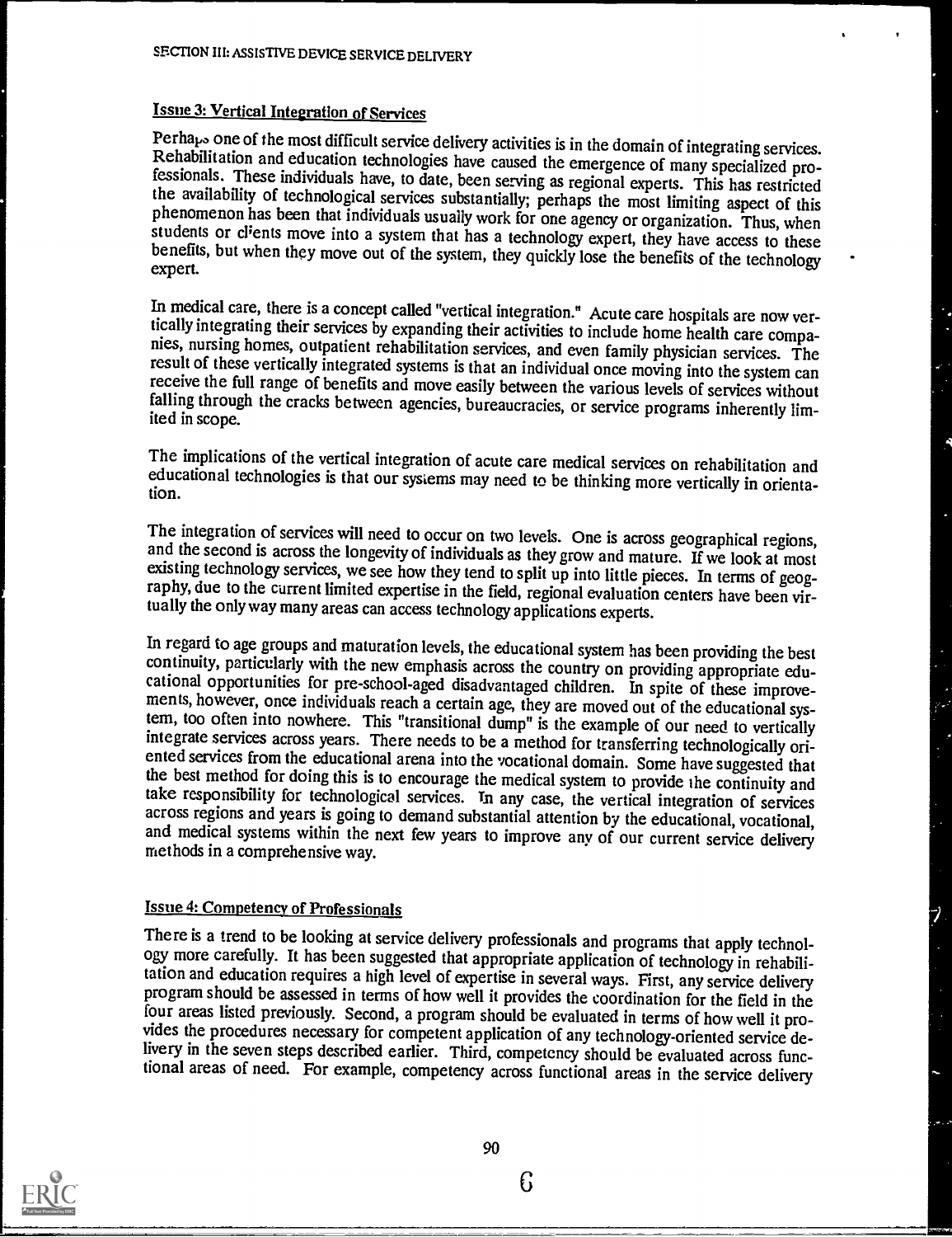# Issue 3: Vertical Integration of Services

Perha<sub>l</sub> to me of the most difficult service delivery activities is in the domain of integrating services.<br>Rehabilitation and education technologies have caused the emergence of many specialized pro-<br>fessionals. These indi

In medical care, there is a concept called "vertical integration." Acute care hospitals are now vertically integrating their services by expanding their activities to include home health care companies, nursing homes, outp

The implications of the vertical integration of acute care medical services on rehabilitation and educational technologies is that our systems may need to be thinking more vertically in orienta- tion.

The integration of services will need to occur on two levels. One is across geographical regions, and the second is across the longevity of individuals as they grow and mature. If we look at most existing technology servic

In regard to age groups and maturation levels, the educational system has been providing the best continuity, particularly with the new emphasis across the country on providing appropriate educational opportunities for pre ented services from the educational arena into the vocational domain. Some have suggested that<br>the best method for doing this is to encourage the medical system to provide the continuity and<br>take responsibility for technol

#### **Issue 4: Competency of Professionals**

There is a trend to be looking at service delivery professionals and programs that apply technology more carefully. It has been suggested that appropriate application of technology in rehabilitation and education requires program should be assessed in terms of how well it provides the coordination for the field in the<br>four areas listed previously. Second, a program should be evaluated in terms of how well it pro-<br>vides the procedures necess livery in the seven steps described earlier. Third, competency should be evaluated across functional areas of need. For example, competency across functional areas in the service delivery



 $6\phantom{.}6$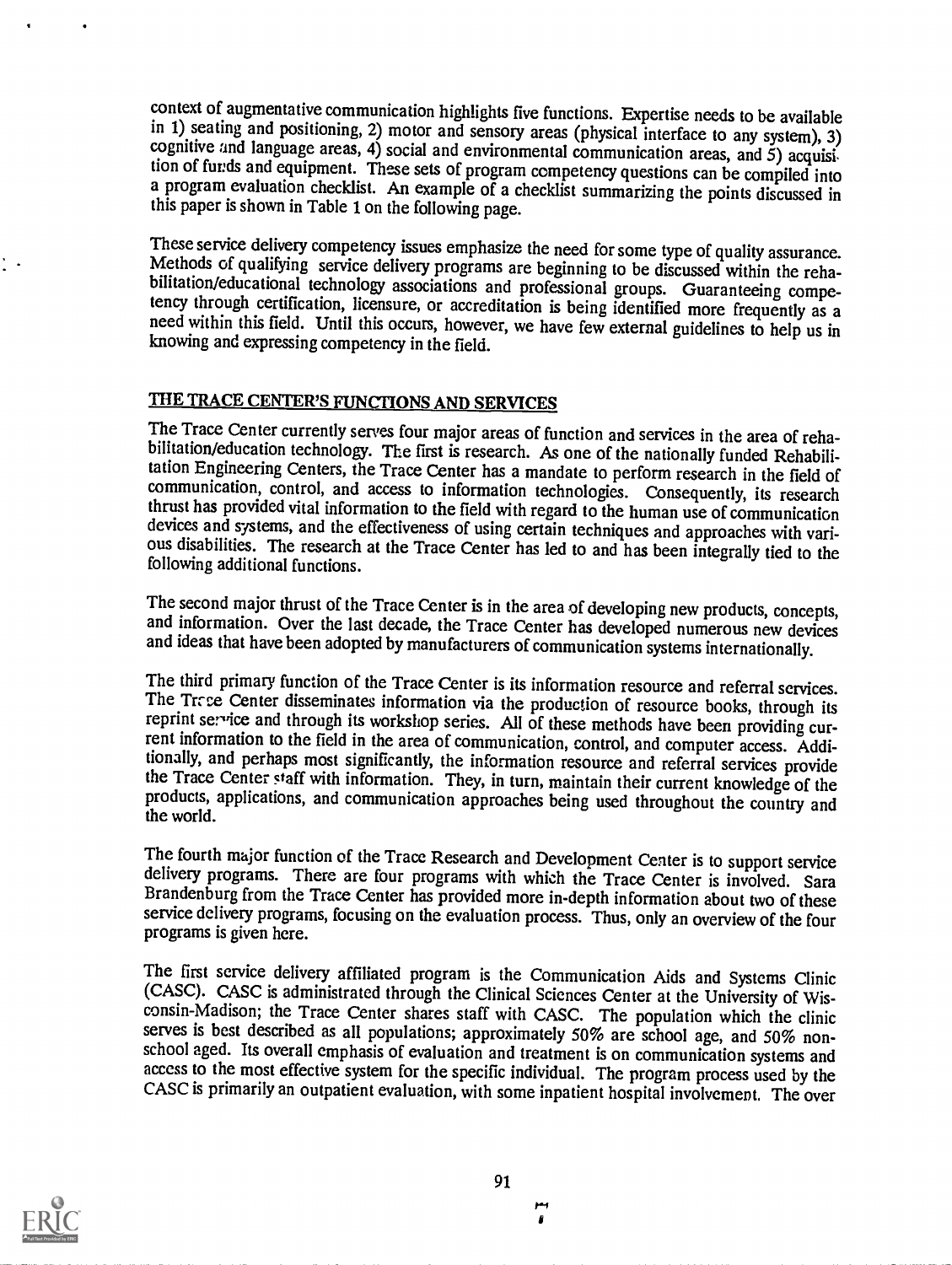context of augmentative communication highlights five functions. Expertise needs to be available in 1) seating and positioning, 2) motor and sensory areas (physical interface to any system), 3) cognitive and language areas, 4) social and environmental communication areas, and 5) acquisition of funds and equipment. These sets of program competency questions can be compiled into a program evaluation checklist. An example of a checklist summarizing the points discussed in this paper is shown in Table 1 on the following page.

These service delivery competency issues emphasize the need for some type of quality assurance.<br>Methods of qualifying service delivery programs are beginning to be discussed within the rehabilitation/educational technology need within this field. Until this occurs, however, we have few external guidelines to help us in knowing and expressing competency in the field.

# THE TRACE CENTER'S FUNCTIONS AND SERVICES

The Trace Center currently serves four major areas of function and services in the area of rehabilitation/education technology. The first is research. As one of the nationally funded Rehabilitation Engineering Centers, the Trace Center has a mandate to perform research in the field of communication, control, and access to information technologies. Consequently, its research thrust has provided vital information to the field with regard to the human use of communication devices and systems, and the effectiveness of using certain techniques and approaches with various disabilities. The research at the Trace Center has led to and has been integrally tied to the following additional functions.

The second major thrust of the Trace Center is in the area of developing new products, concepts, and information. Over the last decade, the Trace Center has developed numerous new devices and ideas that have been adopted b

The third primary function of the Trace Center is its information resource and referral services. The Trace Center disseminates information via the production of resource books, through its reprint service and through its workshop series. All of these methods have been providing current information to the field in the area of communication, control, and computer access. Additionally, and perhaps most significantly, the information resource and referral services provide<br>the Trace Center staff with information. They, in turn, maintain their current knowledge of the products, applications, and communication approaches being used throughout the country and the world.

The fourth major function of the Trace Research and Development Center is to support service delivery programs. There are four programs with which the Trace Center is involved. Sara Brandenburg from the Trace Center has provided more in-depth information about two of these service delivery programs, focusing on the evaluation process. Thus, only an overview of the four programs is given here.

The first service delivery affiliated program is the Communication Aids and Systems Clinic (CASC). CASC is administrated through the Clinical Sciences Center at the University of Wisconsin-Madison; the Trace Center shares staff with CASC. The population which the clinic serves is best described as all populations; approximately 50% are school age, and 50% nonschool aged. Its overall emphasis of evaluation and treatment is on communication systems and access to the most effective system for the specific individual. The program process used by the CASC is primarily an outpatient evaluation, with some inpatient hospital involvement. The over



1.1

I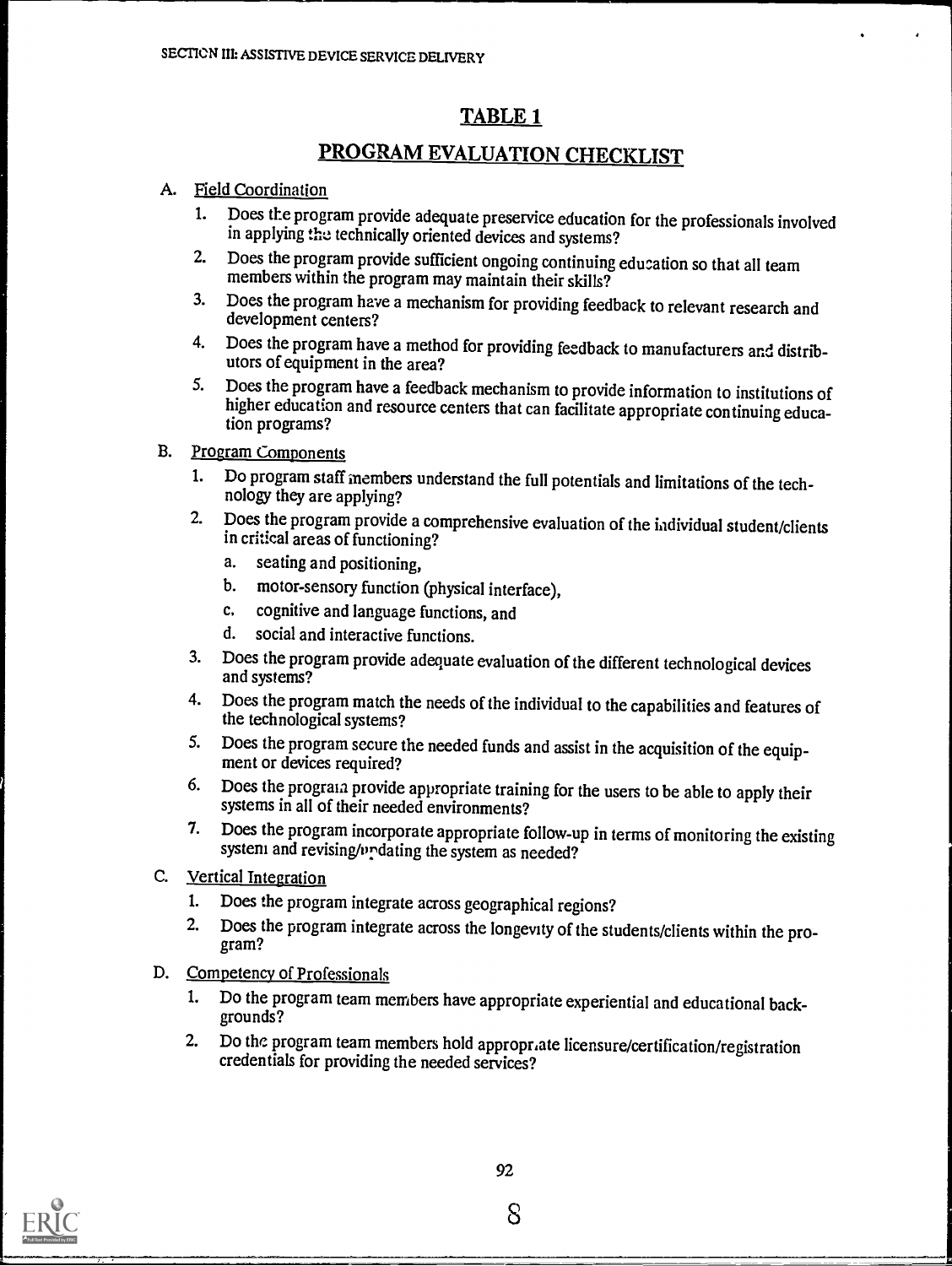# TABLE 1

# PROGRAM EVALUATION CHECKLIST

# A. Field Coordination

- 1. Does the program provide adequate preservice education for the professionals involved in applying the technically oriented devices and systems?
- 2. Does the program provide sufficient ongoing continuing education so that all team members within the program may maintain their skills?
- 3. Does the program have a mechanism for providing feedback to relevant research and development centers?
- 4. Does the program have a method for providing feedback to manufacturers and distributors of equipment in the area?<br>Does the program have a feedback mechanism to provide information to institutions of
- 5. Does the program have a feedback mechanism to provide information to institutions of higher education and resource centers that can facilitate appropriate continuing education programs?

### B. Program Components

- 1. Do program staff members understand the full potentials and limitations of the tech- nology they are applying?
- 2. Does the program provide a comprehensive evaluation of the individual student/clients in critical areas of functioning?
	- a. seating and positioning,
	- b. motor-sensory function (physical interface),
	- c, cognitive and language functions, and
	- d. social and interactive functions.
- 3. Does the program provide adequate evaluation of the different technological devices and systems?
- 4. Does the program match the needs of the individual to the capabilities and features of the technological systems?
- 5. Does the program secure the needed funds and assist in the acquisition of the equip- ment or devices required?
- 6. Does the program provide appropriate training for the users to be able to apply their systems in all of their needed environments?
- 7. Does the program incorporate appropriate follow-up in terms of monitoring the existing system and revising/undating the system as needed?
- C. Vertical Integration
	- 1. Does the program integrate across geographical regions?
	- 2. Does the program integrate across the longevity of the students/clients within the pro-<br>gram?

## D. Competency of Professionals

- 1. Do the program team members have appropriate experiential and educational backgrounds?
- 2. Do the program team members hold appropriate licensure/certification/registration credentials for providing the needed services?

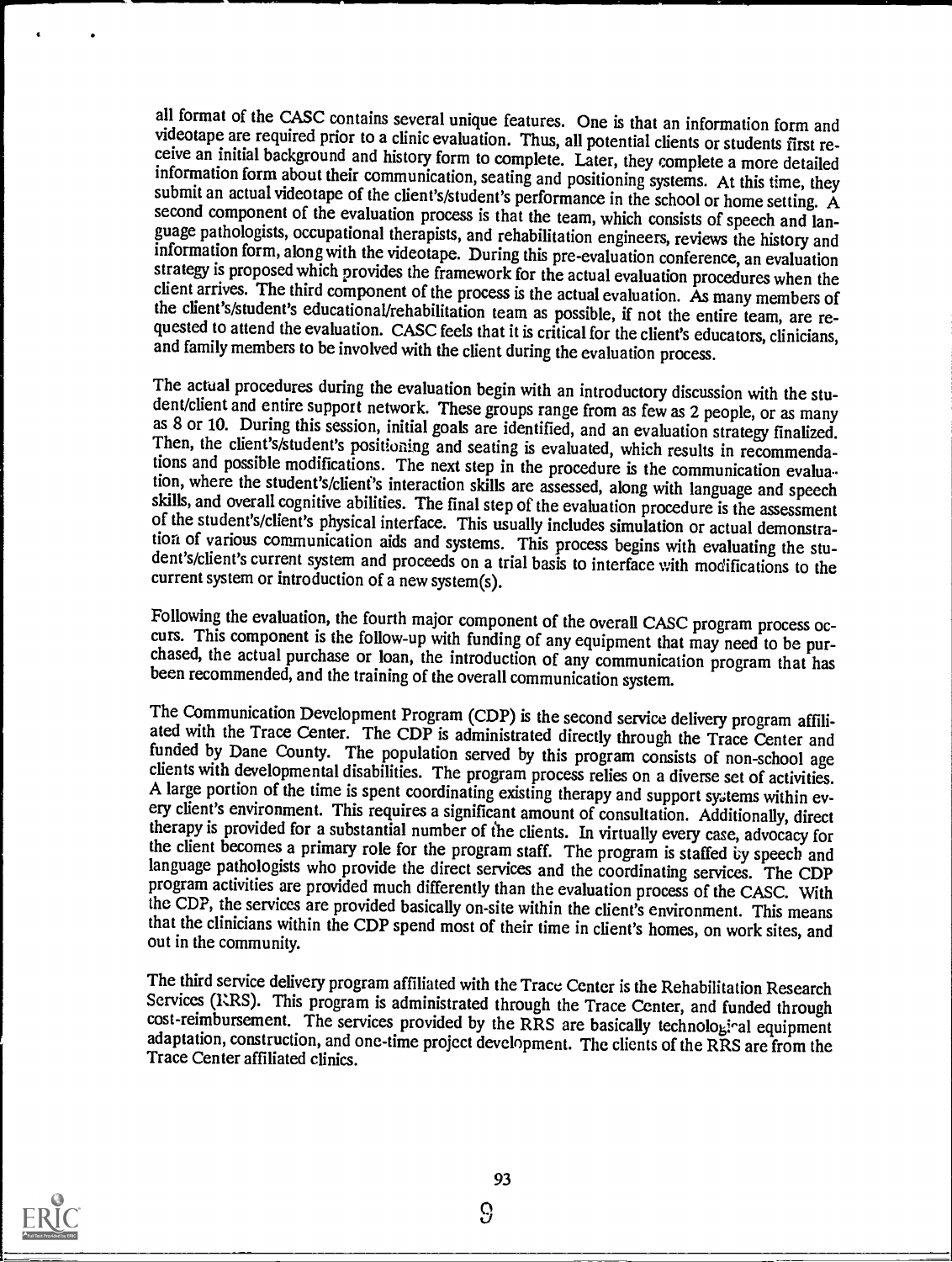all format of the CASC contains several unique features. One is that an information form and videotape are required prior to a clinic evaluation. Thus, all potential clients or students first receive an initial background information form about their communication, seating and positioning systems. At this time, they submit an actual videotape of the client's/student's performance in the school or home setting. A second component of the evaluation process is that the team, which consists of speech and language pathologists, occupational therapists, and rehabilitation engineers, reviews the history and information form, along with the videotape. During this pre-evaluation conference, an evaluation strategy is proposed which provides the framework for the actual evaluation procedures when the client arrives. The third component of the process is the actual evaluation. As many members of the client's/student's educati quested to attend the evaluation. CASC feels that it is critical for the client's educators, clinicians, and family members to be involved with the client during the evaluation process.

The actual procedures during the evaluation begin with an introductory discussion with the stu-<br>dent/client and entire support network. These groups range from as few as 2 people, or as many<br>as 8 or 10. During this session Then, the client's/student's positioning and seating is evaluated, which results in recommendations and possible modifications. The next step in the procedure is the communication evalua tion, where the student's/client's interaction skills are assessed, along with language and speech of the student's/client's physical interface. This usually includes simulation or actual demonstra-<br>tion of various communication aids and systems. This process begins with evaluating the stu-<br>dent's/client's current syste current system or introduction of a new system(s).

Following the evaluation, the fourth major component of the overall CASC program process oc-<br>curs. This component is the follow-up with funding of any equipment that may need to be pur-<br>chased, the actual purchase or loan,

The Communication Development Program (CDP) is the second service delivery program affiliated with the Trace Center. The CDP is administrated directly through the Trace Center and funded by Dane County. The population serv clients with developmental disabilities. The program process relies on a diverse set of activities.<br>A large portion of the time is spent coordinating existing therapy and support systems within every client's environment. therapy is provided for a substantial number of the clients. In virtually every case, advocacy for the client becomes a primary role for the program staff. The program is staffed by speech and language pathologists who provide the direct services and the coordinating services. The CDP program activities are provided much differently than the evaluation process of the CASC. With the CDP, the services are provided basically on-site within the client's environment. This means that the clinicians within the CDP spend most of their time in client's homes, on work sites, and out in the community.

The third service delivery program affiliated with the Trace Center is the Rehabilitation Research Services (I:RS). This program is administrated through the Trace Center, and funded through cost-reimbursement. The services provided by the RRS are basically technological equipment adaptation, construction, and one-time project development. The clients of the RRS are from the Trace Center affiliated clinics.



 $\Omega$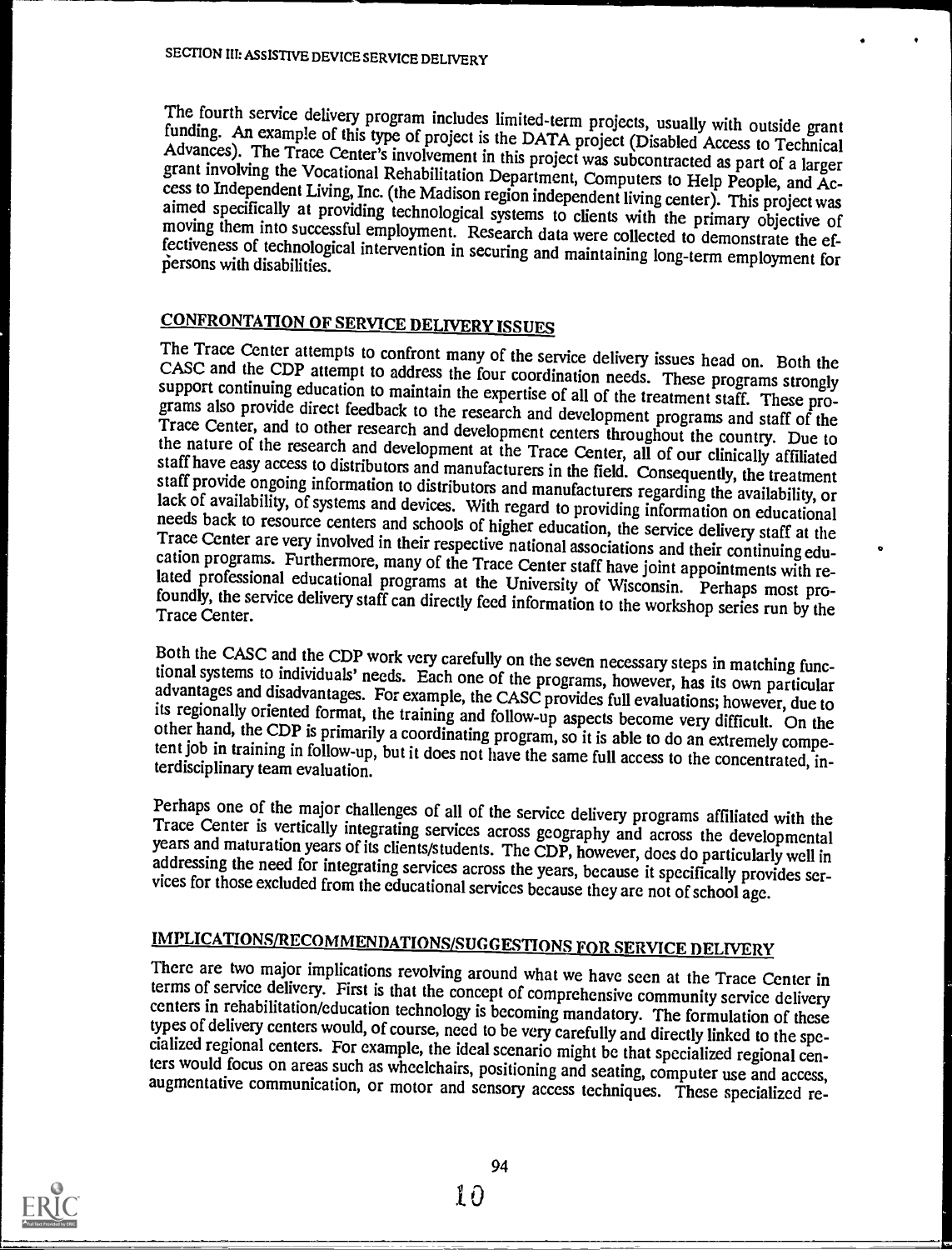The fourth service delivery program includes limited-term projects, usually with outside grant funding. An example of this type of project is the DATA project (Disabled Access to Technical Advances). The Trace Center's inv

CONFRONTATION OF SERVICE DELIVERY ISSUES<br>The Trace Center attempts to confront many of the service delivery issues head on. Both the CASC and the CDP attempt to address the four coordination needs. These programs strongly<br>support continuing education to maintain the expertise of all of the treatment staff. These pro-<br>grams also provide direct feedback t

Both the CASC and the CDP work very carefully on the seven necessary steps in matching functional systems to individuals' needs. Each one of the programs, however, has its own particular advantages and disadvantages. For e

Perhaps one of the major challenges of all of the service delivery programs affiliated with the<br>Trace Center is vertically integrating services across geography and across the developmental<br>years and maturation years of it

IMPLICATIONS/RECOMMENDATIONS/SUGGESTIONS FOR SERVICE DELIVERY<br>There are two major implications revolving around what we have seen at the Trace Center in terms of service delivery. First is that the concept of comprehensive community service delivery centers in rehabilitation/education technology is becoming mandatory. The formulation of these types of delivery centers woul

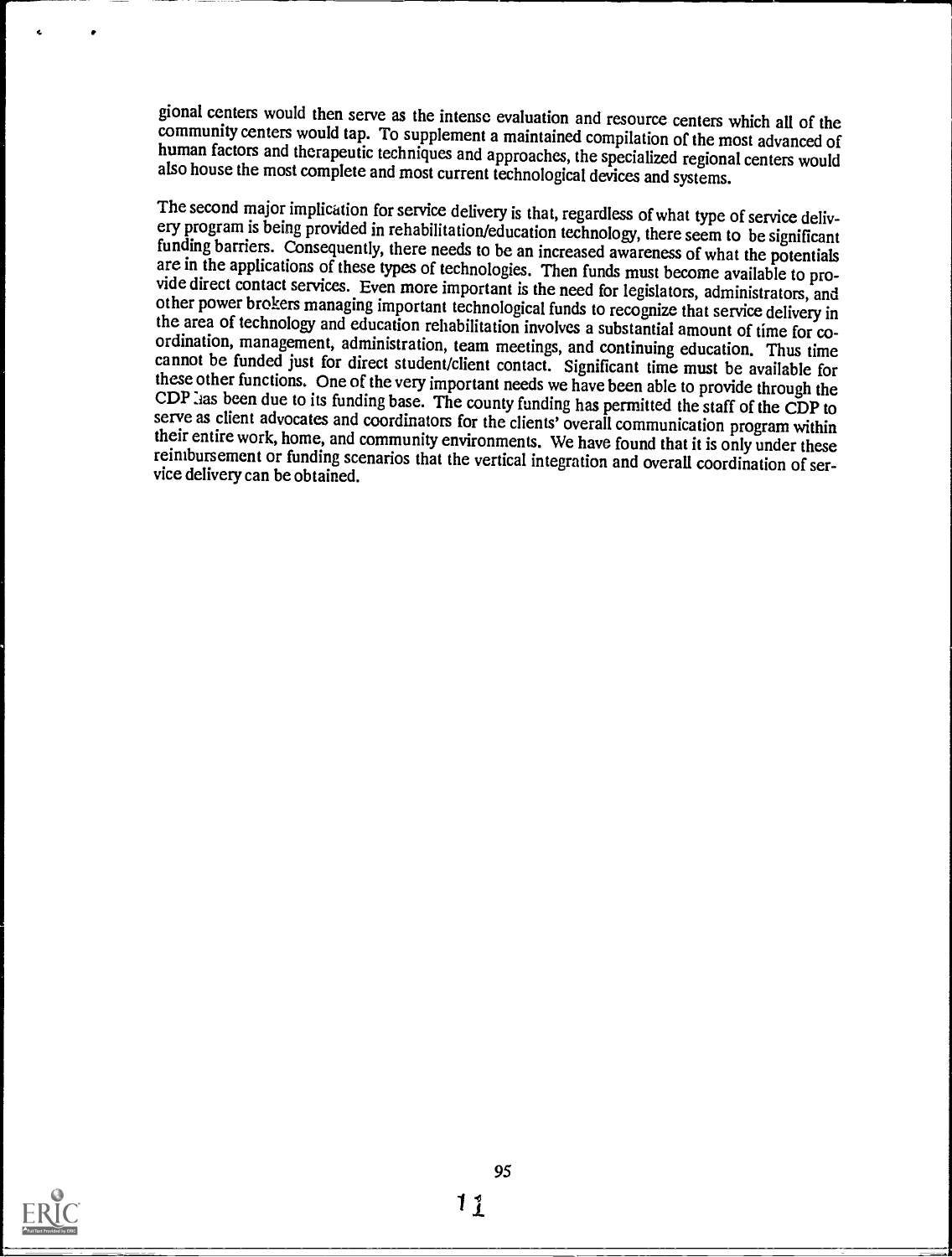gional centers would then serve as the intense evaluation and resource centers which all of the community centers would tap. To supplement a maintained compilation of the most advanced of human factors and therapeutic tech

The second major implication for service delivery is that, regardless of what type of service delivery program is being provided in rehabilitation/education technology, there seem to be significant funding barriers. Conseq cannot be funded just for direct student/client contact. Significant time must be available for these other functions. One of the very important needs we have been able to provide through the CDP las been due to its funding base. The county funding has permitted the staff of the CDP to serve as client advocates and coordinators for the clients' overall communication program within their entire work, home, and c reimbursement or funding scenarios that the vertical integration and overall coordination of ser- vice delivery can be obtained.